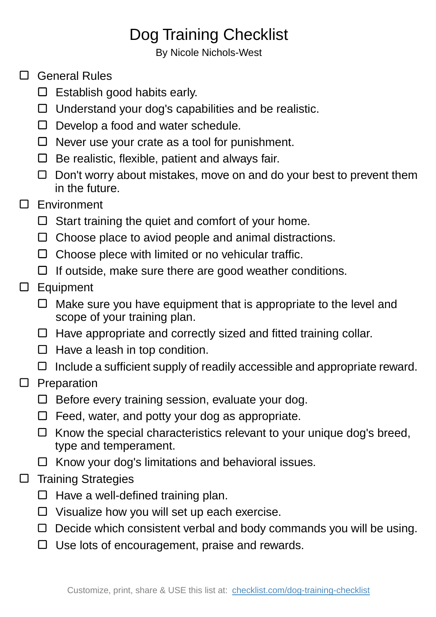## Dog Training Checklist

By Nicole Nichols-West

## □ General Rules

- $\square$  Establish good habits early.
- $\Box$  Understand your dog's capabilities and be realistic.
- $\Box$  Develop a food and water schedule.
- $\Box$  Never use your crate as a tool for punishment.
- $\Box$  Be realistic, flexible, patient and always fair.
- $\Box$  Don't worry about mistakes, move on and do your best to prevent them in the future.
- □ Environment
	- $\Box$  Start training the quiet and comfort of your home.
	- $\Box$  Choose place to aviod people and animal distractions.
	- $\Box$  Choose plece with limited or no vehicular traffic.
	- $\Box$  If outside, make sure there are good weather conditions.
- □ Equipment
	- $\Box$  Make sure you have equipment that is appropriate to the level and scope of your training plan.
	- $\Box$  Have appropriate and correctly sized and fitted training collar.
	- $\Box$  Have a leash in top condition.
	- $\Box$  Include a sufficient supply of readily accessible and appropriate reward.
- $\square$  Preparation
	- $\Box$  Before every training session, evaluate your dog.
	- $\Box$  Feed, water, and potty your dog as appropriate.
	- $\Box$  Know the special characteristics relevant to your unique dog's breed, type and temperament.
	- $\Box$  Know your dog's limitations and behavioral issues.
- $\square$  Training Strategies
	- $\Box$  Have a well-defined training plan.
	- $\Box$  Visualize how you will set up each exercise.
	- $\Box$  Decide which consistent verbal and body commands you will be using.
	- $\Box$  Use lots of encouragement, praise and rewards.